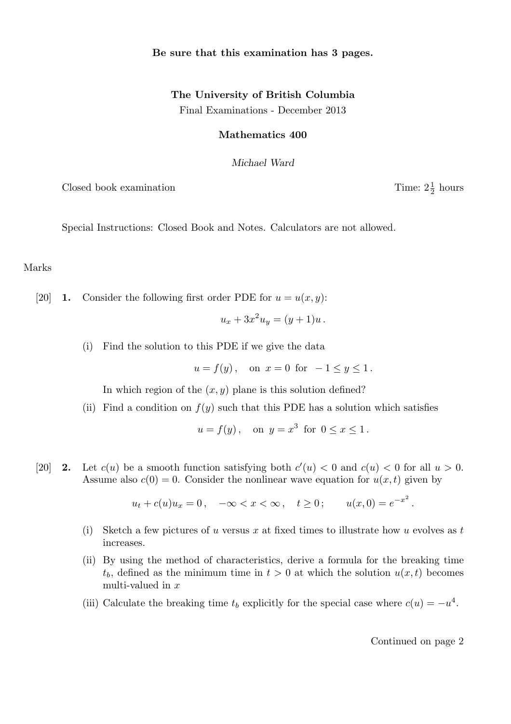## Be sure that this examination has 3 pages.

## The University of British Columbia Final Examinations - December 2013

## Mathematics 400

Michael Ward

Closed book examination

Special Instructions: Closed Book and Notes. Calculators are not allowed.

Marks

[20] **1.** Consider the following first order PDE for  $u = u(x, y)$ :

$$
u_x + 3x^2 u_y = (y+1)u.
$$

(i) Find the solution to this PDE if we give the data

$$
u = f(y)
$$
, on  $x = 0$  for  $-1 \le y \le 1$ .

In which region of the  $(x, y)$  plane is this solution defined?

(ii) Find a condition on  $f(y)$  such that this PDE has a solution which satisfies

$$
u = f(y), \quad \text{on } y = x^3 \text{ for } 0 \le x \le 1.
$$

[20] **2.** Let  $c(u)$  be a smooth function satisfying both  $c'(u) < 0$  and  $c(u) < 0$  for all  $u > 0$ . Assume also  $c(0) = 0$ . Consider the nonlinear wave equation for  $u(x, t)$  given by

$$
u_t + c(u)u_x = 0
$$
,  $-\infty < x < \infty$ ,  $t \ge 0$ ;  $u(x, 0) = e^{-x^2}$ .

- (i) Sketch a few pictures of u versus x at fixed times to illustrate how u evolves as t increases.
- (ii) By using the method of characteristics, derive a formula for the breaking time  $t<sub>b</sub>$ , defined as the minimum time in  $t > 0$  at which the solution  $u(x, t)$  becomes multi-valued in x
- (iii) Calculate the breaking time  $t_b$  explicitly for the special case where  $c(u) = -u^4$ .

Continued on page 2

 $rac{1}{2}$  hours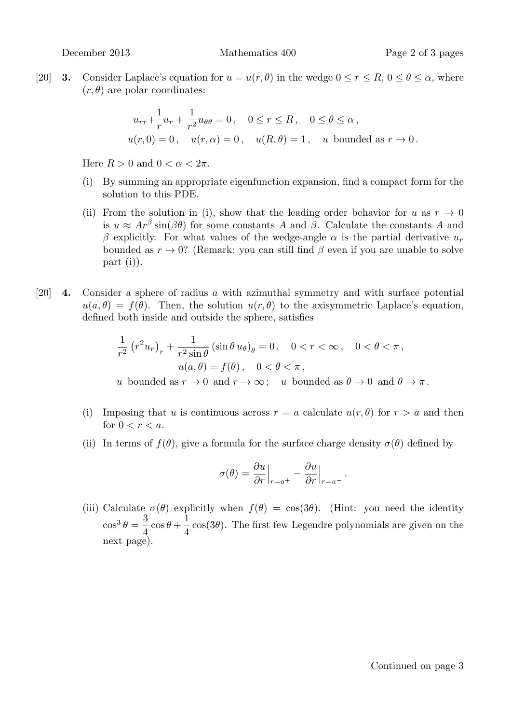[20] **3.** Consider Laplace's equation for  $u = u(r, \theta)$  in the wedge  $0 \le r \le R$ ,  $0 \le \theta \le \alpha$ , where  $(r, \theta)$  are polar coordinates:

$$
u_{rr} + \frac{1}{r}u_r + \frac{1}{r^2}u_{\theta\theta} = 0, \quad 0 \le r \le R, \quad 0 \le \theta \le \alpha,
$$
  

$$
u(r, 0) = 0, \quad u(r, \alpha) = 0, \quad u(R, \theta) = 1, \quad u \text{ bounded as } r \to 0.
$$

Here  $R > 0$  and  $0 < \alpha < 2\pi$ .

- (i) By summing an appropriate eigenfunction expansion, find a compact form for the solution to this PDE.
- (ii) From the solution in (i), show that the leading order behavior for u as  $r \to 0$ is  $u \approx Ar^{\beta} \sin(\beta \theta)$  for some constants A and  $\beta$ . Calculate the constants A and β explicitly. For what values of the wedge-angle  $\alpha$  is the partial derivative  $u_r$ bounded as  $r \to 0$ ? (Remark: you can still find  $\beta$  even if you are unable to solve part (i)).
- [20] 4. Consider a sphere of radius a with azimuthal symmetry and with surface potential  $u(a, \theta) = f(\theta)$ . Then, the solution  $u(r, \theta)$  to the axisymmetric Laplace's equation, defined both inside and outside the sphere, satisfies

$$
\frac{1}{r^2} (r^2 u_r)_r + \frac{1}{r^2 \sin \theta} (\sin \theta u_\theta)_\theta = 0, \quad 0 < r < \infty, \quad 0 < \theta < \pi,
$$
\n
$$
u(a, \theta) = f(\theta), \quad 0 < \theta < \pi,
$$
\nu bounded as  $r \to 0$  and  $r \to \infty$ ; *u* bounded as  $\theta \to 0$  and  $\theta \to \pi$ .

- (i) Imposing that u is continuous across  $r = a$  calculate  $u(r, \theta)$  for  $r > a$  and then for  $0 < r < a$ .
- (ii) In terms of  $f(\theta)$ , give a formula for the surface charge density  $\sigma(\theta)$  defined by

$$
\sigma(\theta) = \frac{\partial u}{\partial r}\Big|_{r=a^+} - \frac{\partial u}{\partial r}\Big|_{r=a^-}.
$$

(iii) Calculate  $\sigma(\theta)$  explicitly when  $f(\theta) = \cos(3\theta)$ . (Hint: you need the identity  $\cos^3\theta = \frac{3}{4}$  $\overline{4}$  $\cos\theta + \frac{1}{4}$ 4  $cos(3\theta)$ . The first few Legendre polynomials are given on the next page).

Continued on page 3